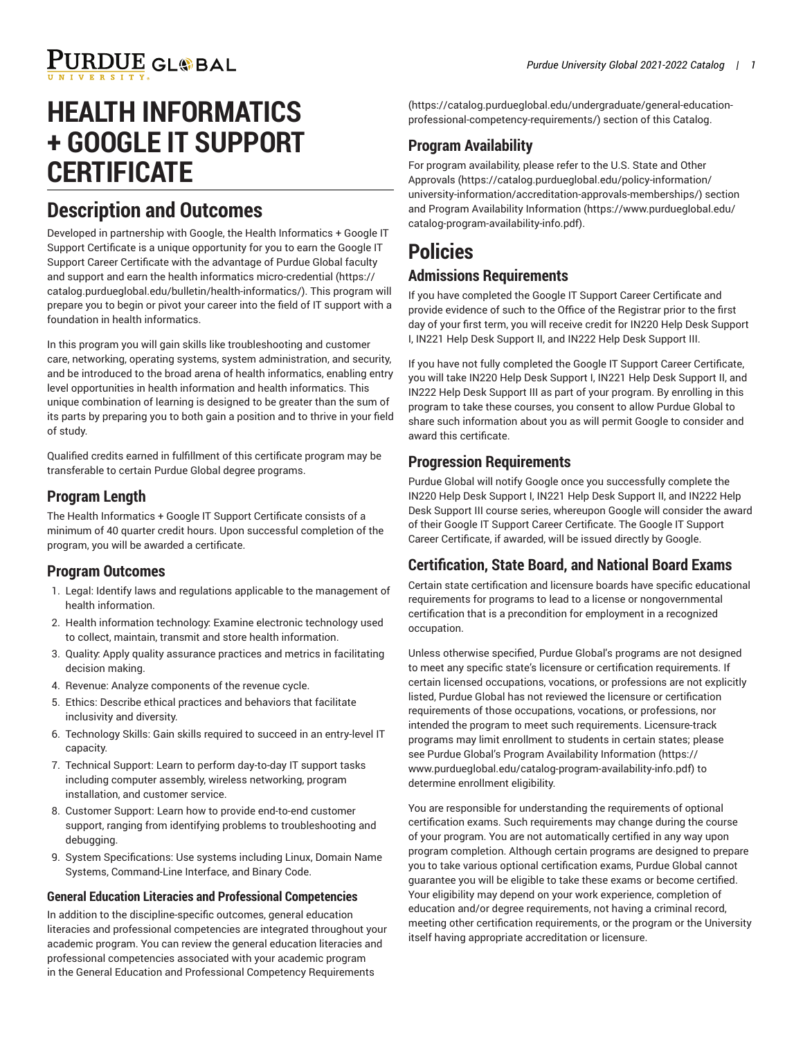# **HEALTH INFORMATICS + GOOGLE IT SUPPORT CERTIFICATE**

### **Description and Outcomes**

Developed in partnership with Google, the Health Informatics + Google IT Support Certificate is a unique opportunity for you to earn the Google IT Support Career Certificate with the advantage of Purdue Global faculty and support and earn the health informatics [micro-credential](https://catalog.purdueglobal.edu/bulletin/health-informatics/) ([https://](https://catalog.purdueglobal.edu/bulletin/health-informatics/) [catalog.purdueglobal.edu/bulletin/health-informatics/\)](https://catalog.purdueglobal.edu/bulletin/health-informatics/). This program will prepare you to begin or pivot your career into the field of IT support with a foundation in health informatics.

In this program you will gain skills like troubleshooting and customer care, networking, operating systems, system administration, and security, and be introduced to the broad arena of health informatics, enabling entry level opportunities in health information and health informatics. This unique combination of learning is designed to be greater than the sum of its parts by preparing you to both gain a position and to thrive in your field of study.

Qualified credits earned in fulfillment of this certificate program may be transferable to certain Purdue Global degree programs.

### **Program Length**

The Health Informatics + Google IT Support Certificate consists of a minimum of 40 quarter credit hours. Upon successful completion of the program, you will be awarded a certificate.

### **Program Outcomes**

- 1. Legal: Identify laws and regulations applicable to the management of health information.
- 2. Health information technology: Examine electronic technology used to collect, maintain, transmit and store health information.
- 3. Quality: Apply quality assurance practices and metrics in facilitating decision making.
- 4. Revenue: Analyze components of the revenue cycle.
- 5. Ethics: Describe ethical practices and behaviors that facilitate inclusivity and diversity.
- 6. Technology Skills: Gain skills required to succeed in an entry-level IT capacity.
- 7. Technical Support: Learn to perform day-to-day IT support tasks including computer assembly, wireless networking, program installation, and customer service.
- 8. Customer Support: Learn how to provide end-to-end customer support, ranging from identifying problems to troubleshooting and debugging.
- 9. System Specifications: Use systems including Linux, Domain Name Systems, Command-Line Interface, and Binary Code.

#### **General Education Literacies and Professional Competencies**

In addition to the discipline-specific outcomes, general education literacies and professional competencies are integrated throughout your academic program. You can review the general education literacies and professional competencies associated with your academic program in the General Education and Professional Competency [Requirements](https://catalog.purdueglobal.edu/undergraduate/general-education-professional-competency-requirements/)

[\(https://catalog.purdueglobal.edu/undergraduate/general-education](https://catalog.purdueglobal.edu/undergraduate/general-education-professional-competency-requirements/)[professional-competency-requirements/](https://catalog.purdueglobal.edu/undergraduate/general-education-professional-competency-requirements/)) section of this Catalog.

### **Program Availability**

For program availability, please refer to the [U.S. State and Other](https://catalog.purdueglobal.edu/policy-information/university-information/accreditation-approvals-memberships/) [Approvals](https://catalog.purdueglobal.edu/policy-information/university-information/accreditation-approvals-memberships/) ([https://catalog.purdueglobal.edu/policy-information/](https://catalog.purdueglobal.edu/policy-information/university-information/accreditation-approvals-memberships/) [university-information/accreditation-approvals-memberships/](https://catalog.purdueglobal.edu/policy-information/university-information/accreditation-approvals-memberships/)) section and Program Availability [Information](https://www.purdueglobal.edu/catalog-program-availability-info.pdf) ([https://www.purdueglobal.edu/](https://www.purdueglobal.edu/catalog-program-availability-info.pdf) [catalog-program-availability-info.pdf\)](https://www.purdueglobal.edu/catalog-program-availability-info.pdf).

## **Policies**

### **Admissions Requirements**

If you have completed the Google IT Support Career Certificate and provide evidence of such to the Office of the Registrar prior to the first day of your first term, you will receive credit for IN220 Help Desk Support I, IN221 Help Desk Support II, and IN222 Help Desk Support III.

If you have not fully completed the Google IT Support Career Certificate, you will take IN220 Help Desk Support I, IN221 Help Desk Support II, and IN222 Help Desk Support III as part of your program. By enrolling in this program to take these courses, you consent to allow Purdue Global to share such information about you as will permit Google to consider and award this certificate.

### **Progression Requirements**

Purdue Global will notify Google once you successfully complete the IN220 Help Desk Support I, IN221 Help Desk Support II, and IN222 Help Desk Support III course series, whereupon Google will consider the award of their Google IT Support Career Certificate. The Google IT Support Career Certificate, if awarded, will be issued directly by Google.

### **Certification, State Board, and National Board Exams**

Certain state certification and licensure boards have specific educational requirements for programs to lead to a license or nongovernmental certification that is a precondition for employment in a recognized occupation.

Unless otherwise specified, Purdue Global's programs are not designed to meet any specific state's licensure or certification requirements. If certain licensed occupations, vocations, or professions are not explicitly listed, Purdue Global has not reviewed the licensure or certification requirements of those occupations, vocations, or professions, nor intended the program to meet such requirements. Licensure-track programs may limit enrollment to students in certain states; please see Purdue Global's Program Availability [Information](https://www.purdueglobal.edu/catalog-program-availability-info.pdf) ([https://](https://www.purdueglobal.edu/catalog-program-availability-info.pdf) [www.purdueglobal.edu/catalog-program-availability-info.pdf](https://www.purdueglobal.edu/catalog-program-availability-info.pdf)) to determine enrollment eligibility.

You are responsible for understanding the requirements of optional certification exams. Such requirements may change during the course of your program. You are not automatically certified in any way upon program completion. Although certain programs are designed to prepare you to take various optional certification exams, Purdue Global cannot guarantee you will be eligible to take these exams or become certified. Your eligibility may depend on your work experience, completion of education and/or degree requirements, not having a criminal record, meeting other certification requirements, or the program or the University itself having appropriate accreditation or licensure.